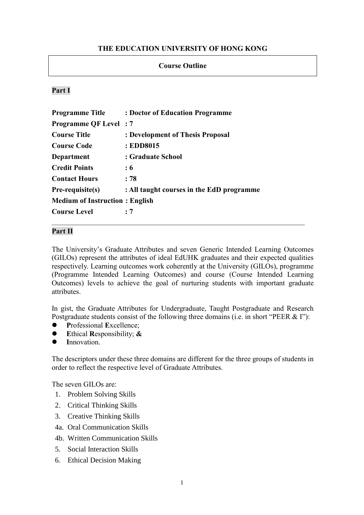# **THE EDUCATION UNIVERSITY OF HONG KONG**

# **Course Outline**

# **Part I**

| <b>Programme Title</b>                | : Doctor of Education Programme           |
|---------------------------------------|-------------------------------------------|
| <b>Programme QF Level</b> : 7         |                                           |
| <b>Course Title</b>                   | : Development of Thesis Proposal          |
| <b>Course Code</b>                    | : EDD8015                                 |
| Department                            | : Graduate School                         |
| <b>Credit Points</b>                  | : 6                                       |
| <b>Contact Hours</b>                  | : 78                                      |
| $Pre-requistic(s)$                    | : All taught courses in the EdD programme |
| <b>Medium of Instruction: English</b> |                                           |
| <b>Course Level</b>                   | : 7                                       |

### **Part II**

The University's Graduate Attributes and seven Generic Intended Learning Outcomes (GILOs) represent the attributes of ideal EdUHK graduates and their expected qualities respectively. Learning outcomes work coherently at the University (GILOs), programme (Programme Intended Learning Outcomes) and course (Course Intended Learning Outcomes) levels to achieve the goal of nurturing students with important graduate attributes.

In gist, the Graduate Attributes for Undergraduate, Taught Postgraduate and Research Postgraduate students consist of the following three domains (i.e. in short "PEER & I"):

- ⚫ **P**rofessional **E**xcellence;
- ⚫ **E**thical **R**esponsibility; **&**
- ⚫ **I**nnovation.

The descriptors under these three domains are different for the three groups of students in order to reflect the respective level of Graduate Attributes.

The seven GILOs are:

- 1. Problem Solving Skills
- 2. Critical Thinking Skills
- 3. Creative Thinking Skills
- 4a. Oral Communication Skills
- 4b. Written Communication Skills
- 5. Social Interaction Skills
- 6. Ethical Decision Making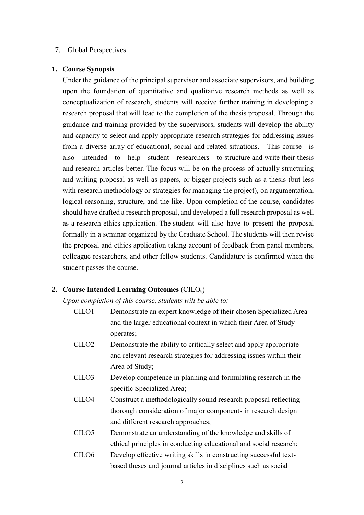### 7. Global Perspectives

#### **1. Course Synopsis**

Under the guidance of the principal supervisor and associate supervisors, and building upon the foundation of quantitative and qualitative research methods as well as conceptualization of research, students will receive further training in developing a research proposal that will lead to the completion of the thesis proposal. Through the guidance and training provided by the supervisors, students will develop the ability and capacity to select and apply appropriate research strategies for addressing issues from a diverse array of educational, social and related situations. This course is also intended to help student researchers to structure and write their thesis and research articles better. The focus will be on the process of actually structuring and writing proposal as well as papers, or bigger projects such as a thesis (but less with research methodology or strategies for managing the project), on argumentation, logical reasoning, structure, and the like. Upon completion of the course, candidates should have drafted a research proposal, and developed a full research proposal as well as a research ethics application. The student will also have to present the proposal formally in a seminar organized by the Graduate School. The students will then revise the proposal and ethics application taking account of feedback from panel members, colleague researchers, and other fellow students. Candidature is confirmed when the student passes the course.

### **2. Course Intended Learning Outcomes** (CILOs)

*Upon completion of this course, students will be able to:*

- CILO1 Demonstrate an expert knowledge of their chosen Specialized Area and the larger educational context in which their Area of Study operates;
- CILO2 Demonstrate the ability to critically select and apply appropriate and relevant research strategies for addressing issues within their Area of Study;
- CILO3 Develop competence in planning and formulating research in the specific Specialized Area;
- CILO4 Construct a methodologically sound research proposal reflecting thorough consideration of major components in research design and different research approaches;
- CILO5 Demonstrate an understanding of the knowledge and skills of ethical principles in conducting educational and social research;
- CILO6 Develop effective writing skills in constructing successful textbased theses and journal articles in disciplines such as social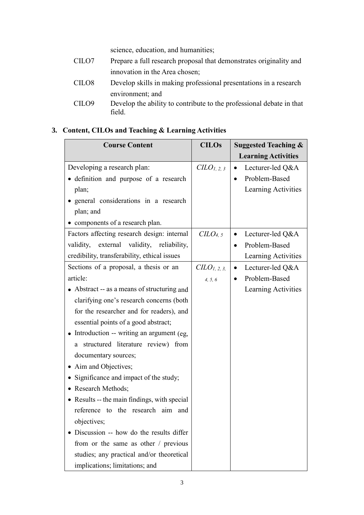science, education, and humanities;

| CILO7             | Prepare a full research proposal that demonstrates originality and   |
|-------------------|----------------------------------------------------------------------|
|                   | innovation in the Area chosen;                                       |
| CILO <sub>8</sub> | Develop skills in making professional presentations in a research    |
|                   | environment; and                                                     |
| CILO <sub>9</sub> | Develop the ability to contribute to the professional debate in that |
|                   | field.                                                               |

# **3. Content, CILOs and Teaching & Learning Activities**

| <b>Course Content</b>                        | <b>CILOs</b>           | <b>Suggested Teaching &amp;</b><br><b>Learning Activities</b> |
|----------------------------------------------|------------------------|---------------------------------------------------------------|
| Developing a research plan:                  | CLO <sub>1, 2, 3</sub> | Lecturer-led Q&A                                              |
| · definition and purpose of a research       |                        | Problem-Based                                                 |
| plan;                                        |                        | Learning Activities                                           |
| general considerations in a research         |                        |                                                               |
| plan; and                                    |                        |                                                               |
| • components of a research plan.             |                        |                                                               |
| Factors affecting research design: internal  | CLO <sub>4, 5</sub>    | Lecturer-led Q&A<br>$\bullet$                                 |
| validity, external validity, reliability,    |                        | Problem-Based<br>$\bullet$                                    |
| credibility, transferability, ethical issues |                        | Learning Activities                                           |
| Sections of a proposal, a thesis or an       | $CLO_{1,2,3,}$         | Lecturer-led Q&A<br>$\bullet$                                 |
| article:                                     | 4, 5, 6                | Problem-Based                                                 |
| • Abstract -- as a means of structuring and  |                        | Learning Activities                                           |
| clarifying one's research concerns (both     |                        |                                                               |
| for the researcher and for readers), and     |                        |                                                               |
| essential points of a good abstract;         |                        |                                                               |
| Introduction -- writing an argument (eg,     |                        |                                                               |
| structured literature review) from<br>a      |                        |                                                               |
| documentary sources;                         |                        |                                                               |
| • Aim and Objectives;                        |                        |                                                               |
| Significance and impact of the study;        |                        |                                                               |
| • Research Methods;                          |                        |                                                               |
| • Results -- the main findings, with special |                        |                                                               |
| reference to the research aim and            |                        |                                                               |
| objectives;                                  |                        |                                                               |
| Discussion -- how do the results differ      |                        |                                                               |
| from or the same as other / previous         |                        |                                                               |
| studies; any practical and/or theoretical    |                        |                                                               |
| implications; limitations; and               |                        |                                                               |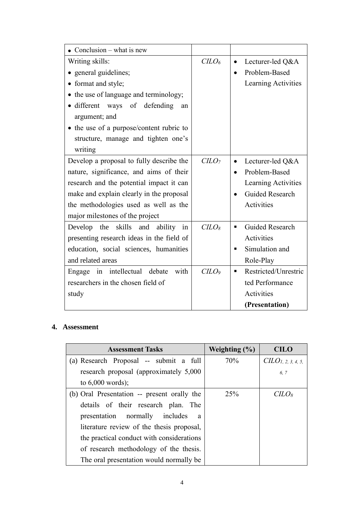| • Conclusion – what is new                |                 |                           |
|-------------------------------------------|-----------------|---------------------------|
| Writing skills:                           | C <sub>LO</sub> | Lecturer-led Q&A          |
| • general guidelines;                     |                 | Problem-Based             |
| • format and style;                       |                 | Learning Activities       |
| • the use of language and terminology;    |                 |                           |
| • different ways of defending<br>an       |                 |                           |
| argument; and                             |                 |                           |
| • the use of a purpose/content rubric to  |                 |                           |
| structure, manage and tighten one's       |                 |                           |
| writing                                   |                 |                           |
| Develop a proposal to fully describe the  | $C LO7$         | Lecturer-led Q&A          |
| nature, significance, and aims of their   |                 | Problem-Based             |
| research and the potential impact it can  |                 | Learning Activities       |
| make and explain clearly in the proposal  |                 | <b>Guided Research</b>    |
| the methodologies used as well as the     |                 | Activities                |
| major milestones of the project           |                 |                           |
| Develop the skills and<br>ability<br>in   | $C$             | Guided Research<br>п      |
| presenting research ideas in the field of |                 | Activities                |
| education, social sciences, humanities    |                 | Simulation and<br>п       |
| and related areas                         |                 | Role-Play                 |
| with<br>Engage in intellectual debate     | C <sub>LO</sub> | Restricted/Unrestric<br>٠ |
| researchers in the chosen field of        |                 | ted Performance           |
| study                                     |                 | Activities                |
|                                           |                 | (Presentation)            |

# **4. Assessment**

| <b>Assessment Tasks</b>                        | Weighting $(\% )$ | <b>CILO</b>                    |
|------------------------------------------------|-------------------|--------------------------------|
| (a) Research Proposal -- submit a full         | 70%               | CILO <sub>1, 2, 3, 4, 5,</sub> |
| research proposal (approximately 5,000)        |                   | 6.7                            |
| to $6,000$ words);                             |                   |                                |
| (b) Oral Presentation -- present orally the    | 25%               | CILO <sub>8</sub>              |
| details of their research plan. The            |                   |                                |
| presentation normally includes<br><sub>a</sub> |                   |                                |
| literature review of the thesis proposal,      |                   |                                |
| the practical conduct with considerations      |                   |                                |
| of research methodology of the thesis.         |                   |                                |
| The oral presentation would normally be        |                   |                                |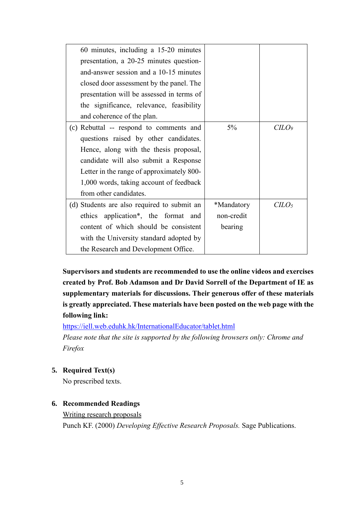| 60 minutes, including a 15-20 minutes       |            |                 |
|---------------------------------------------|------------|-----------------|
| presentation, a 20-25 minutes question-     |            |                 |
| and-answer session and a 10-15 minutes      |            |                 |
| closed door assessment by the panel. The    |            |                 |
| presentation will be assessed in terms of   |            |                 |
| the significance, relevance, feasibility    |            |                 |
| and coherence of the plan.                  |            |                 |
| (c) Rebuttal -- respond to comments and     | $5\%$      | C <sub>LO</sub> |
| questions raised by other candidates.       |            |                 |
| Hence, along with the thesis proposal,      |            |                 |
| candidate will also submit a Response       |            |                 |
| Letter in the range of approximately 800-   |            |                 |
| 1,000 words, taking account of feedback     |            |                 |
| from other candidates.                      |            |                 |
| (d) Students are also required to submit an | *Mandatory | $C$             |
| ethics application*, the format and         | non-credit |                 |
| content of which should be consistent       | bearing    |                 |
| with the University standard adopted by     |            |                 |
| the Research and Development Office.        |            |                 |

**Supervisors and students are recommended to use the online videos and exercises created by Prof. Bob Adamson and Dr David Sorrell of the Department of IE as supplementary materials for discussions. Their generous offer of these materials is greatly appreciated. These materials have been posted on the web page with the following link:**

<https://iell.web.eduhk.hk/InternationalEducator/tablet.html>

*Please note that the site is supported by the following browsers only: Chrome and Firefox*

# **5. Required Text(s)**

No prescribed texts.

# **6. Recommended Readings**

Writing research proposals Punch KF. (2000) *Developing Effective Research Proposals.* Sage Publications.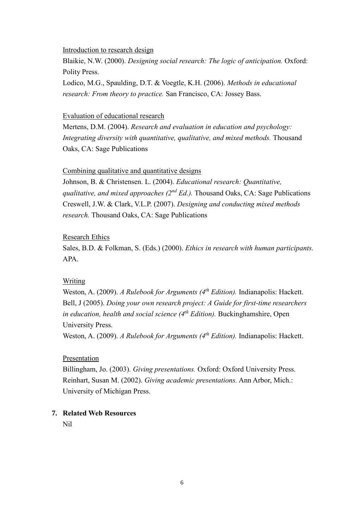Introduction to research design

Blaikie, N.W. (2000). *Designing social research: The logic of anticipation.* Oxford: Polity Press.

Lodico, M.G., Spaulding, D.T. & Voegtle, K.H. (2006). *Methods in educational research: From theory to practice.* San Francisco, CA: Jossey Bass.

#### Evaluation of educational research

Mertens, D.M. (2004). *Research and evaluation in education and psychology: Integrating diversity with quantitative, qualitative, and mixed methods.* Thousand Oaks, CA: Sage Publications

## Combining qualitative and quantitative designs

Johnson, B. & Christensen. L. (2004). *Educational research: Quantitative, qualitative, and mixed approaches (2nd Ed.).* Thousand Oaks, CA: Sage Publications Creswell, J.W. & Clark, V.L.P. (2007). *Designing and conducting mixed methods research.* Thousand Oaks, CA: Sage Publications

## Research Ethics

Sales, B.D. & Folkman, S. (Eds.) (2000). *Ethics in research with human participants.* APA.

## Writing

Weston, A. (2009). *A Rulebook for Arguments (4th Edition).* Indianapolis: Hackett. Bell, J (2005). *Doing your own research project: A Guide for first-time researchers in education, health and social science (4 th Edition).* Buckinghamshire, Open University Press.

Weston, A. (2009). *A Rulebook for Arguments (4<sup>th</sup> Edition)*. Indianapolis: Hackett.

### Presentation

Billingham, Jo. (2003). *Giving presentations.* Oxford: Oxford University Press. Reinhart, Susan M. (2002). *Giving academic presentations.* Ann Arbor, Mich.: University of Michigan Press.

# **7. Related Web Resources**

Nil